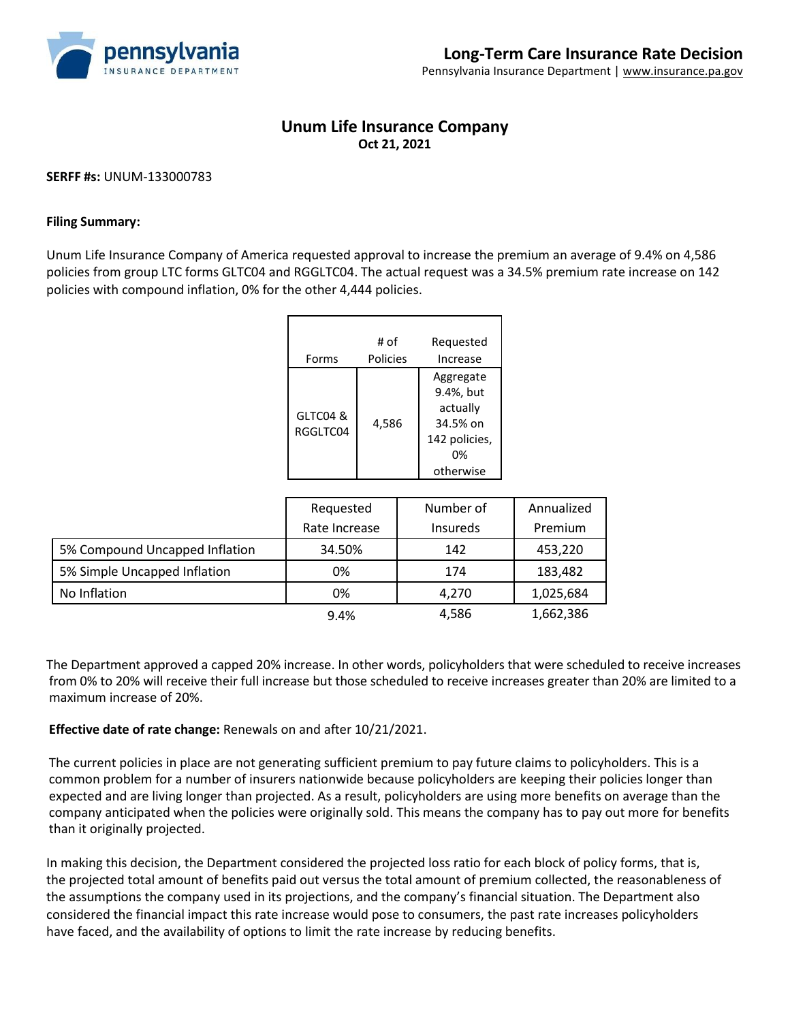

## **Unum Life Insurance Company Oct 21, 2021**

## **SERFF #s:** UNUM-133000783

## **Filing Summary:**

Unum Life Insurance Company of America requested approval to increase the premium an average of 9.4% on 4,586 policies from group LTC forms GLTC04 and RGGLTC04. The actual request was a 34.5% premium rate increase on 142 policies with compound inflation, 0% for the other 4,444 policies.

|                      | # of     | Requested                                                                          |
|----------------------|----------|------------------------------------------------------------------------------------|
| Forms                | Policies | Increase                                                                           |
| GLTC04 &<br>RGGLTC04 | 4,586    | Aggregate<br>9.4%, but<br>actually<br>34.5% on<br>142 policies,<br>0%<br>otherwise |

|                                | Requested     | Number of       | Annualized |
|--------------------------------|---------------|-----------------|------------|
|                                | Rate Increase | <b>Insureds</b> | Premium    |
| 5% Compound Uncapped Inflation | 34.50%        | 142             | 453,220    |
| 5% Simple Uncapped Inflation   | 0%            | 174             | 183,482    |
| No Inflation                   | 0%            | 4,270           | 1,025,684  |
|                                | 9.4%          | 4,586           | 1,662,386  |

The Department approved a capped 20% increase. In other words, policyholders that were scheduled to receive increases from 0% to 20% will receive their full increase but those scheduled to receive increases greater than 20% are limited to a maximum increase of 20%.

**Effective date of rate change:** Renewals on and after 10/21/2021.

The current policies in place are not generating sufficient premium to pay future claims to policyholders. This is a common problem for a number of insurers nationwide because policyholders are keeping their policies longer than expected and are living longer than projected. As a result, policyholders are using more benefits on average than the company anticipated when the policies were originally sold. This means the company has to pay out more for benefits than it originally projected.

In making this decision, the Department considered the projected loss ratio for each block of policy forms, that is, the projected total amount of benefits paid out versus the total amount of premium collected, the reasonableness of the assumptions the company used in its projections, and the company's financial situation. The Department also considered the financial impact this rate increase would pose to consumers, the past rate increases policyholders have faced, and the availability of options to limit the rate increase by reducing benefits.